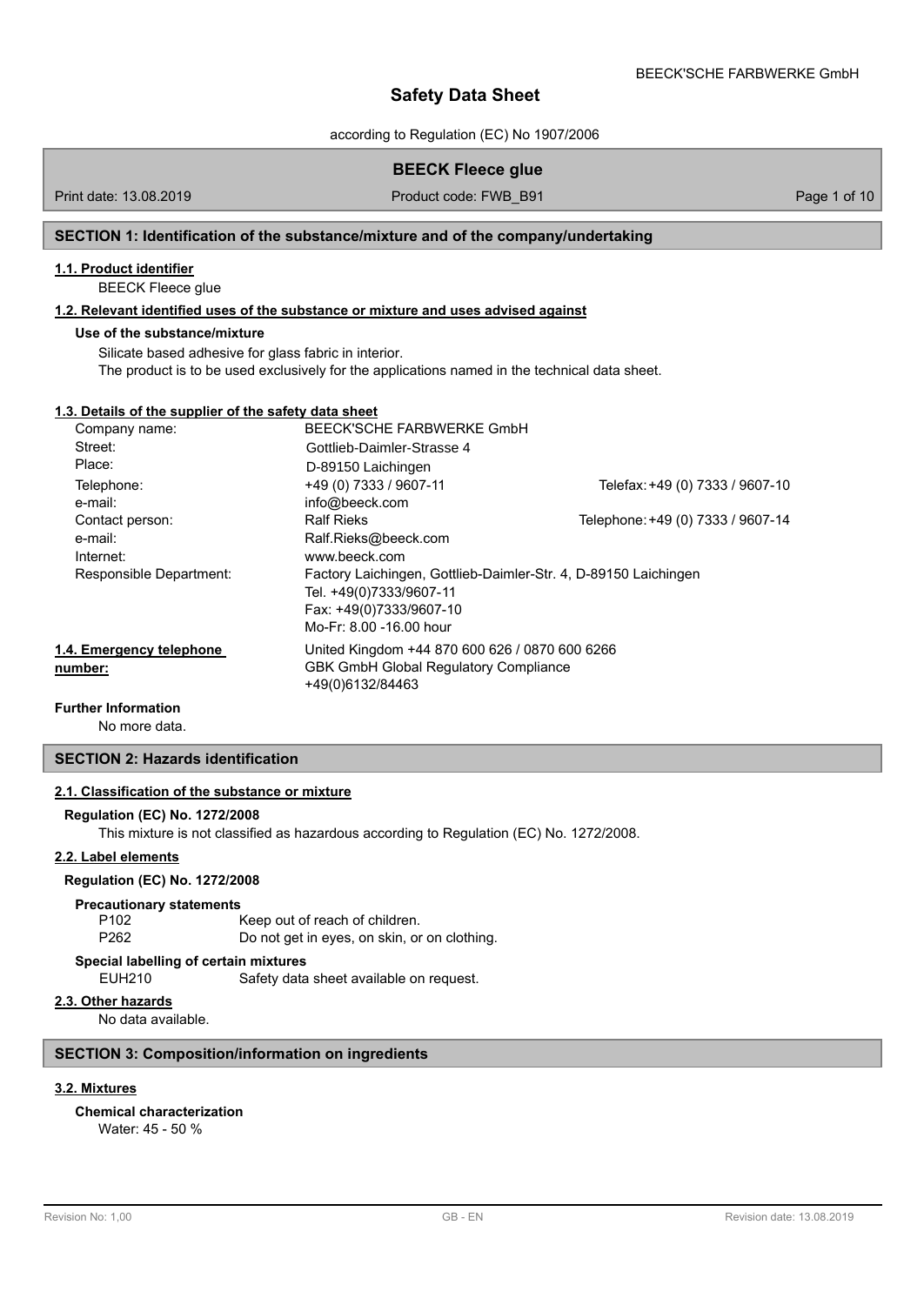according to Regulation (EC) No 1907/2006

## **BEECK Fleece glue**

Print date: 13.08.2019 **Product code: FWB\_B91** Product code: FWB\_B91 Page 1 of 10

## **SECTION 1: Identification of the substance/mixture and of the company/undertaking**

## **1.1. Product identifier**

BEECK Fleece glue

## **1.2. Relevant identified uses of the substance or mixture and uses advised against**

#### **Use of the substance/mixture**

Silicate based adhesive for glass fabric in interior. The product is to be used exclusively for the applications named in the technical data sheet.

#### **1.3. Details of the supplier of the safety data sheet**

| Company name:            | BEECK'SCHE FARBWERKE GmbH                                       |                                   |
|--------------------------|-----------------------------------------------------------------|-----------------------------------|
| Street:                  | Gottlieb-Daimler-Strasse 4                                      |                                   |
| Place:                   | D-89150 Laichingen                                              |                                   |
| Telephone:               | +49 (0) 7333 / 9607-11                                          | Telefax: +49 (0) 7333 / 9607-10   |
| e-mail:                  | info@beeck.com                                                  |                                   |
| Contact person:          | <b>Ralf Rieks</b>                                               | Telephone: +49 (0) 7333 / 9607-14 |
| e-mail:                  | Ralf.Rieks@beeck.com                                            |                                   |
| Internet:                | www.beeck.com                                                   |                                   |
| Responsible Department:  | Factory Laichingen, Gottlieb-Daimler-Str. 4, D-89150 Laichingen |                                   |
|                          | Tel. +49(0)7333/9607-11                                         |                                   |
|                          | Fax: +49(0)7333/9607-10                                         |                                   |
|                          | Mo-Fr: 8.00 -16.00 hour                                         |                                   |
| 1.4. Emergency telephone | United Kingdom +44 870 600 626 / 0870 600 6266                  |                                   |
| number:                  | <b>GBK GmbH Global Requlatory Compliance</b>                    |                                   |
|                          | +49(0)6132/84463                                                |                                   |
|                          |                                                                 |                                   |

## **Further Information**

No more data.

## **SECTION 2: Hazards identification**

## **2.1. Classification of the substance or mixture**

**Regulation (EC) No. 1272/2008**

This mixture is not classified as hazardous according to Regulation (EC) No. 1272/2008.

#### **2.2. Label elements**

### **Regulation (EC) No. 1272/2008**

#### **Precautionary statements**

P102 Keep out of reach of children. P262 Do not get in eyes, on skin, or on clothing.

### **Special labelling of certain mixtures**

EUH210 Safety data sheet available on request.

#### **2.3. Other hazards**

No data available.

## **SECTION 3: Composition/information on ingredients**

## **3.2. Mixtures**

**Chemical characterization**

Water: 45 - 50 %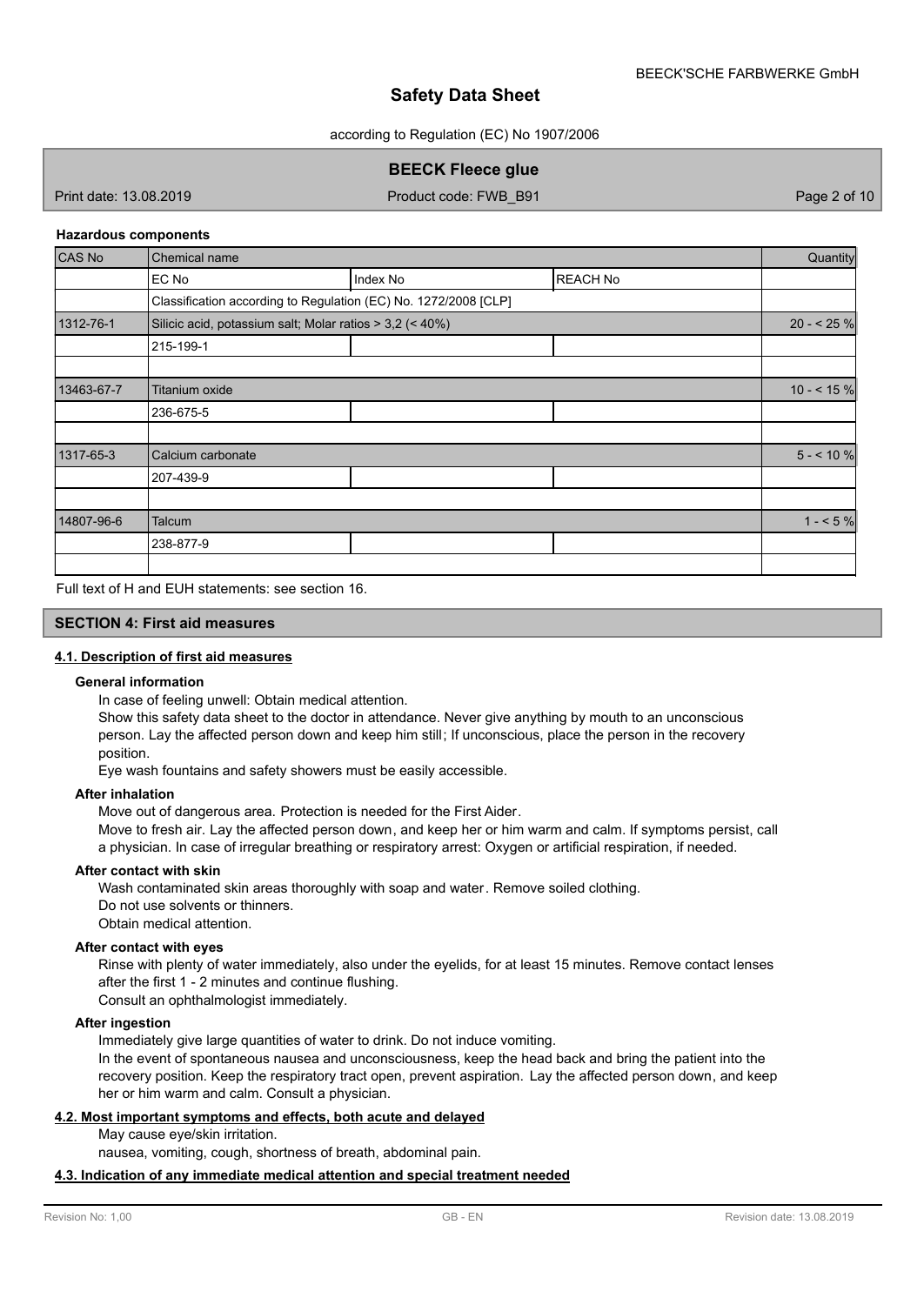according to Regulation (EC) No 1907/2006

## **BEECK Fleece glue**

Print date: 13.08.2019 **Product code: FWB\_B91** Page 2 of 10

#### **Hazardous components**

| <b>CAS No</b> | Chemical name                                                   |          |                 |             |
|---------------|-----------------------------------------------------------------|----------|-----------------|-------------|
|               | EC No                                                           | Index No | <b>REACH No</b> |             |
|               | Classification according to Regulation (EC) No. 1272/2008 [CLP] |          |                 |             |
| 1312-76-1     | Silicic acid, potassium salt; Molar ratios > 3,2 (< 40%)        |          |                 | $20 - 25%$  |
|               | 215-199-1                                                       |          |                 |             |
|               |                                                                 |          |                 |             |
| 13463-67-7    | Titanium oxide                                                  |          |                 | $10 - 5.96$ |
|               | 236-675-5                                                       |          |                 |             |
|               |                                                                 |          |                 |             |
| 1317-65-3     | Calcium carbonate                                               |          |                 | $5 - 10%$   |
|               | 207-439-9                                                       |          |                 |             |
|               |                                                                 |          |                 |             |
| 14807-96-6    | Talcum                                                          |          |                 | $1 - 5\%$   |
|               | 238-877-9                                                       |          |                 |             |
|               |                                                                 |          |                 |             |

Full text of H and EUH statements: see section 16.

### **SECTION 4: First aid measures**

### **4.1. Description of first aid measures**

#### **General information**

In case of feeling unwell: Obtain medical attention.

Show this safety data sheet to the doctor in attendance. Never give anything by mouth to an unconscious person. Lay the affected person down and keep him still; If unconscious, place the person in the recovery position.

Eye wash fountains and safety showers must be easily accessible.

### **After inhalation**

Move out of dangerous area. Protection is needed for the First Aider.

Move to fresh air. Lay the affected person down, and keep her or him warm and calm. If symptoms persist, call a physician. In case of irregular breathing or respiratory arrest: Oxygen or artificial respiration, if needed.

#### **After contact with skin**

Wash contaminated skin areas thoroughly with soap and water. Remove soiled clothing. Do not use solvents or thinners. Obtain medical attention.

#### **After contact with eyes**

Rinse with plenty of water immediately, also under the eyelids, for at least 15 minutes. Remove contact lenses after the first 1 - 2 minutes and continue flushing.

Consult an ophthalmologist immediately.

#### **After ingestion**

Immediately give large quantities of water to drink. Do not induce vomiting.

In the event of spontaneous nausea and unconsciousness, keep the head back and bring the patient into the recovery position. Keep the respiratory tract open, prevent aspiration. Lay the affected person down, and keep her or him warm and calm. Consult a physician.

## **4.2. Most important symptoms and effects, both acute and delayed**

May cause eye/skin irritation.

nausea, vomiting, cough, shortness of breath, abdominal pain.

### **4.3. Indication of any immediate medical attention and special treatment needed**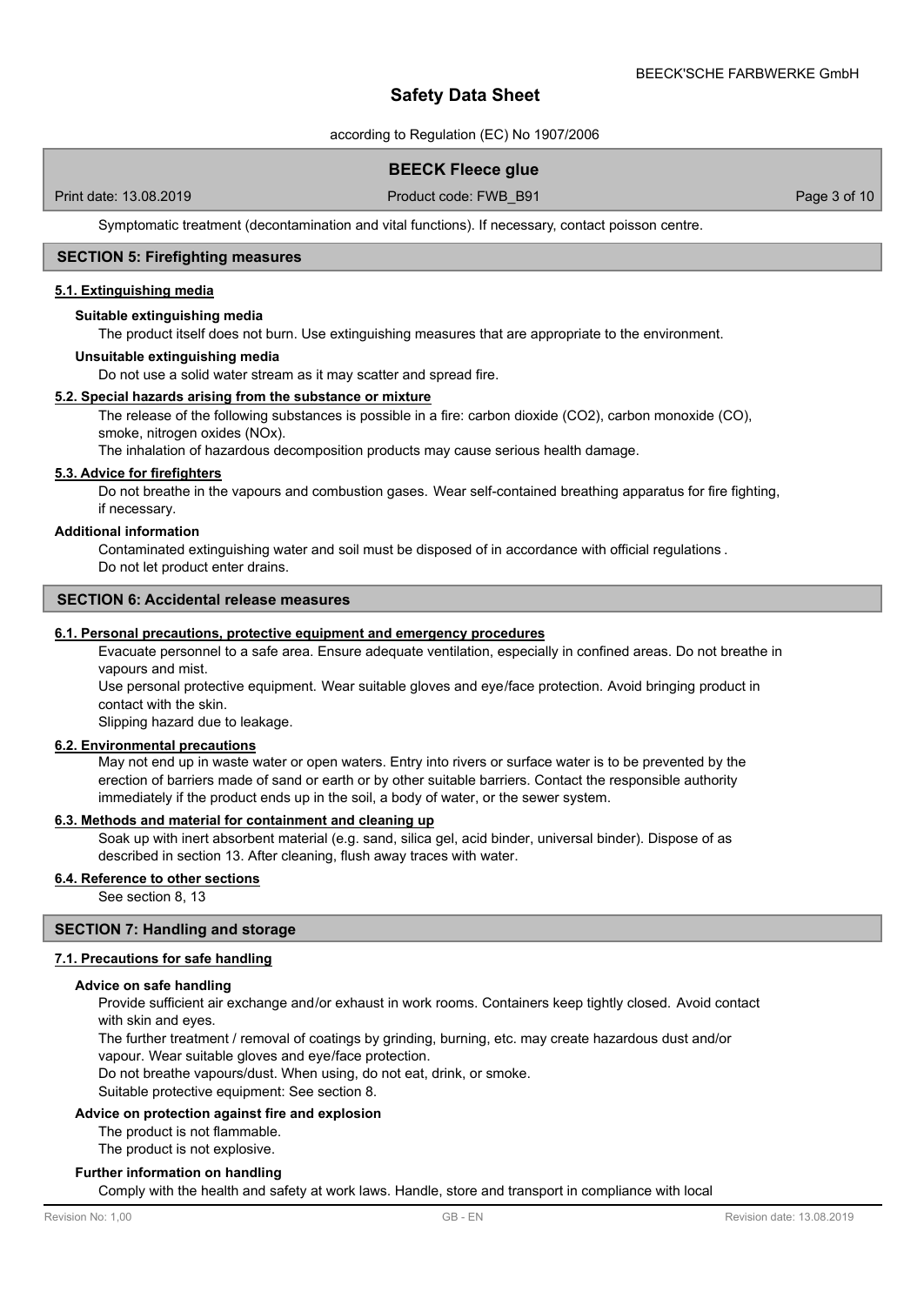according to Regulation (EC) No 1907/2006

## **BEECK Fleece glue**

Print date: 13.08.2019 **Product code: FWB\_B91** Page 3 of 10

Symptomatic treatment (decontamination and vital functions). If necessary, contact poisson centre.

## **SECTION 5: Firefighting measures**

#### **5.1. Extinguishing media**

#### **Suitable extinguishing media**

The product itself does not burn. Use extinguishing measures that are appropriate to the environment.

#### **Unsuitable extinguishing media**

Do not use a solid water stream as it may scatter and spread fire.

#### **5.2. Special hazards arising from the substance or mixture**

The release of the following substances is possible in a fire: carbon dioxide (CO2), carbon monoxide (CO), smoke, nitrogen oxides (NOx).

The inhalation of hazardous decomposition products may cause serious health damage.

#### **5.3. Advice for firefighters**

Do not breathe in the vapours and combustion gases. Wear self-contained breathing apparatus for fire fighting, if necessary.

#### **Additional information**

Contaminated extinguishing water and soil must be disposed of in accordance with official regulations . Do not let product enter drains.

### **SECTION 6: Accidental release measures**

#### **6.1. Personal precautions, protective equipment and emergency procedures**

Evacuate personnel to a safe area. Ensure adequate ventilation, especially in confined areas. Do not breathe in vapours and mist.

Use personal protective equipment. Wear suitable gloves and eye/face protection. Avoid bringing product in contact with the skin.

Slipping hazard due to leakage.

## **6.2. Environmental precautions**

May not end up in waste water or open waters. Entry into rivers or surface water is to be prevented by the erection of barriers made of sand or earth or by other suitable barriers. Contact the responsible authority immediately if the product ends up in the soil, a body of water, or the sewer system.

#### **6.3. Methods and material for containment and cleaning up**

Soak up with inert absorbent material (e.g. sand, silica gel, acid binder, universal binder). Dispose of as described in section 13. After cleaning, flush away traces with water.

#### **6.4. Reference to other sections**

See section 8, 13

### **SECTION 7: Handling and storage**

### **7.1. Precautions for safe handling**

#### **Advice on safe handling**

Provide sufficient air exchange and/or exhaust in work rooms. Containers keep tightly closed. Avoid contact with skin and eyes.

The further treatment / removal of coatings by grinding, burning, etc. may create hazardous dust and/or vapour. Wear suitable gloves and eye/face protection.

Do not breathe vapours/dust. When using, do not eat, drink, or smoke.

Suitable protective equipment: See section 8.

### **Advice on protection against fire and explosion**

The product is not flammable.

The product is not explosive.

#### **Further information on handling**

Comply with the health and safety at work laws. Handle, store and transport in compliance with local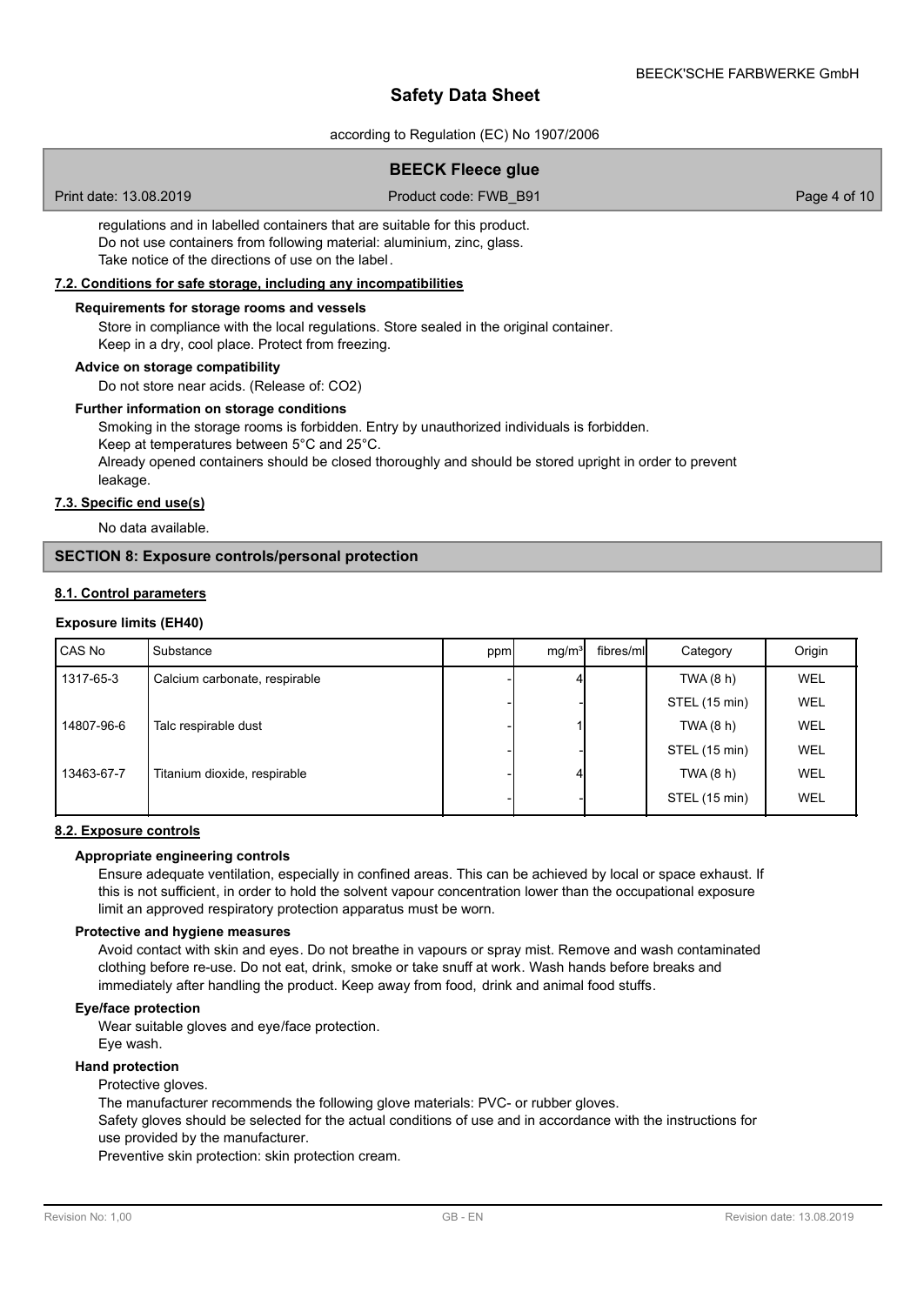according to Regulation (EC) No 1907/2006

## **BEECK Fleece glue**

Print date: 13.08.2019 **Product code: FWB\_B91** Page 4 of 10

regulations and in labelled containers that are suitable for this product. Do not use containers from following material: aluminium, zinc, glass. Take notice of the directions of use on the label.

### **7.2. Conditions for safe storage, including any incompatibilities**

### **Requirements for storage rooms and vessels**

Store in compliance with the local regulations. Store sealed in the original container.

Keep in a dry, cool place. Protect from freezing.

## **Advice on storage compatibility**

Do not store near acids. (Release of: CO2)

#### **Further information on storage conditions**

Smoking in the storage rooms is forbidden. Entry by unauthorized individuals is forbidden.

Keep at temperatures between 5°C and 25°C.

Already opened containers should be closed thoroughly and should be stored upright in order to prevent leakage.

## **7.3. Specific end use(s)**

No data available.

### **SECTION 8: Exposure controls/personal protection**

### **8.1. Control parameters**

### **Exposure limits (EH40)**

| CAS No     | Substance                     | ppm | mq/m <sup>3</sup> | fibres/ml | Category      | Origin     |
|------------|-------------------------------|-----|-------------------|-----------|---------------|------------|
| 1317-65-3  | Calcium carbonate, respirable |     |                   |           | TWA (8 h)     | <b>WEL</b> |
|            |                               |     |                   |           | STEL (15 min) | <b>WEL</b> |
| 14807-96-6 | Talc respirable dust          |     |                   |           | TWA (8 h)     | WEL        |
|            |                               |     |                   |           | STEL (15 min) | WEL        |
| 13463-67-7 | Titanium dioxide, respirable  |     |                   |           | TWA (8 h)     | WEL        |
|            |                               |     |                   |           | STEL (15 min) | WEL        |

#### **8.2. Exposure controls**

#### **Appropriate engineering controls**

Ensure adequate ventilation, especially in confined areas. This can be achieved by local or space exhaust. If this is not sufficient, in order to hold the solvent vapour concentration lower than the occupational exposure limit an approved respiratory protection apparatus must be worn.

#### **Protective and hygiene measures**

Avoid contact with skin and eyes. Do not breathe in vapours or spray mist. Remove and wash contaminated clothing before re-use. Do not eat, drink, smoke or take snuff at work. Wash hands before breaks and immediately after handling the product. Keep away from food, drink and animal food stuffs.

#### **Eye/face protection**

Wear suitable gloves and eye/face protection.

Eye wash.

## **Hand protection**

Protective gloves.

The manufacturer recommends the following glove materials: PVC- or rubber gloves.

Safety gloves should be selected for the actual conditions of use and in accordance with the instructions for use provided by the manufacturer.

Preventive skin protection: skin protection cream.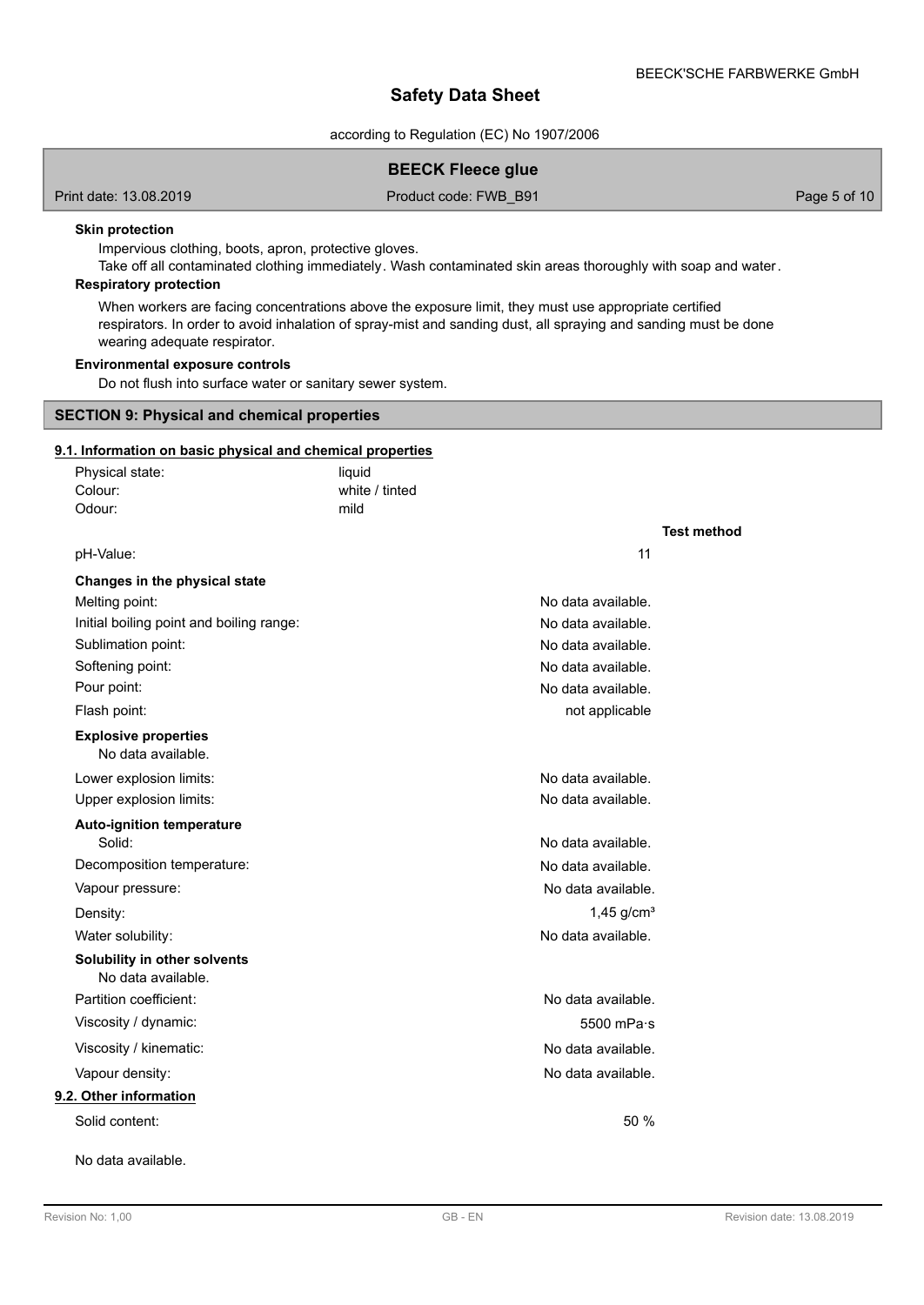according to Regulation (EC) No 1907/2006

## **BEECK Fleece glue**

Print date: 13.08.2019 **Product code: FWB\_B91** Page 5 of 10

#### **Skin protection**

Impervious clothing, boots, apron, protective gloves.

Take off all contaminated clothing immediately. Wash contaminated skin areas thoroughly with soap and water.

## **Respiratory protection**

When workers are facing concentrations above the exposure limit, they must use appropriate certified respirators. In order to avoid inhalation of spray-mist and sanding dust, all spraying and sanding must be done wearing adequate respirator.

## **Environmental exposure controls**

Do not flush into surface water or sanitary sewer system.

#### **SECTION 9: Physical and chemical properties**

## **9.1. Information on basic physical and chemical properties**

| Physical state:                                    | liquid         |                          |
|----------------------------------------------------|----------------|--------------------------|
| Colour:                                            | white / tinted |                          |
| Odour:                                             | mild           |                          |
|                                                    |                | <b>Test method</b>       |
| pH-Value:                                          |                | 11                       |
| Changes in the physical state                      |                |                          |
| Melting point:                                     |                | No data available.       |
| Initial boiling point and boiling range:           |                | No data available.       |
| Sublimation point:                                 |                | No data available.       |
| Softening point:                                   |                | No data available.       |
| Pour point:                                        |                | No data available.       |
| Flash point:                                       |                | not applicable           |
| <b>Explosive properties</b><br>No data available.  |                |                          |
| Lower explosion limits:                            |                | No data available.       |
| Upper explosion limits:                            |                | No data available.       |
| <b>Auto-ignition temperature</b><br>Solid:         |                | No data available.       |
| Decomposition temperature:                         |                | No data available.       |
| Vapour pressure:                                   |                | No data available.       |
| Density:                                           |                | $1,45$ g/cm <sup>3</sup> |
| Water solubility:                                  |                | No data available.       |
| Solubility in other solvents<br>No data available. |                |                          |
| Partition coefficient:                             |                | No data available.       |
| Viscosity / dynamic:                               |                | 5500 mPa·s               |
| Viscosity / kinematic:                             |                | No data available.       |
| Vapour density:                                    |                | No data available.       |
| 9.2. Other information                             |                |                          |
| Solid content:                                     |                | 50 %                     |
| No data available.                                 |                |                          |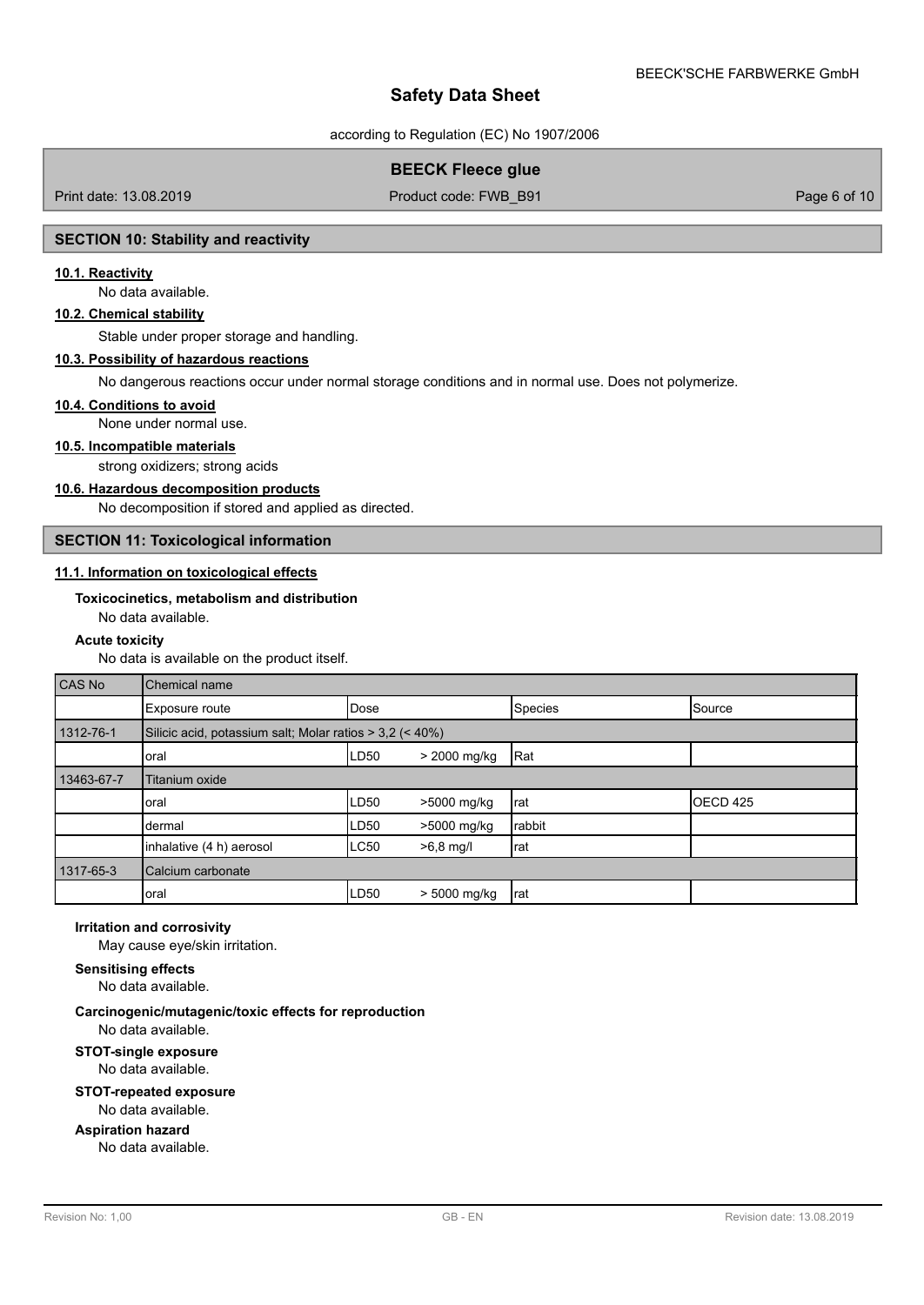according to Regulation (EC) No 1907/2006

## **BEECK Fleece glue**

Print date: 13.08.2019 **Product code: FWB\_B91** Product code: FWB\_B91 Page 6 of 10

### **SECTION 10: Stability and reactivity**

### **10.1. Reactivity**

No data available.

#### **10.2. Chemical stability**

Stable under proper storage and handling.

### **10.3. Possibility of hazardous reactions**

No dangerous reactions occur under normal storage conditions and in normal use. Does not polymerize.

#### **10.4. Conditions to avoid**

None under normal use.

#### **10.5. Incompatible materials**

strong oxidizers; strong acids

#### **10.6. Hazardous decomposition products**

No decomposition if stored and applied as directed.

## **SECTION 11: Toxicological information**

### **11.1. Information on toxicological effects**

### **Toxicocinetics, metabolism and distribution**

No data available.

#### **Acute toxicity**

No data is available on the product itself.

| CAS No     | Chemical name                                            |                  |                |         |                   |
|------------|----------------------------------------------------------|------------------|----------------|---------|-------------------|
|            | Exposure route                                           | <b>Dose</b>      |                | Species | Source            |
| 1312-76-1  | Silicic acid, potassium salt; Molar ratios > 3,2 (< 40%) |                  |                |         |                   |
|            | oral                                                     | LD <sub>50</sub> | > 2000 mg/kg   | Rat     |                   |
| 13463-67-7 | Titanium oxide                                           |                  |                |         |                   |
|            | oral                                                     | LD50             | >5000 mg/kg    | Irat    | <b>I</b> OECD 425 |
|            | dermal                                                   | LD50             | >5000 mg/kg    | rabbit  |                   |
|            | inhalative (4 h) aerosol                                 | <b>LC50</b>      | $>6,8$ mg/l    | Irat    |                   |
| 1317-65-3  | Calcium carbonate                                        |                  |                |         |                   |
|            | oral                                                     | LD50             | $> 5000$ mg/kg | Irat    |                   |

#### **Irritation and corrosivity**

May cause eye/skin irritation.

#### **Sensitising effects**

No data available.

#### **Carcinogenic/mutagenic/toxic effects for reproduction** No data available.

## **STOT-single exposure** No data available.

### **STOT-repeated exposure**

No data available.

# **Aspiration hazard**

No data available.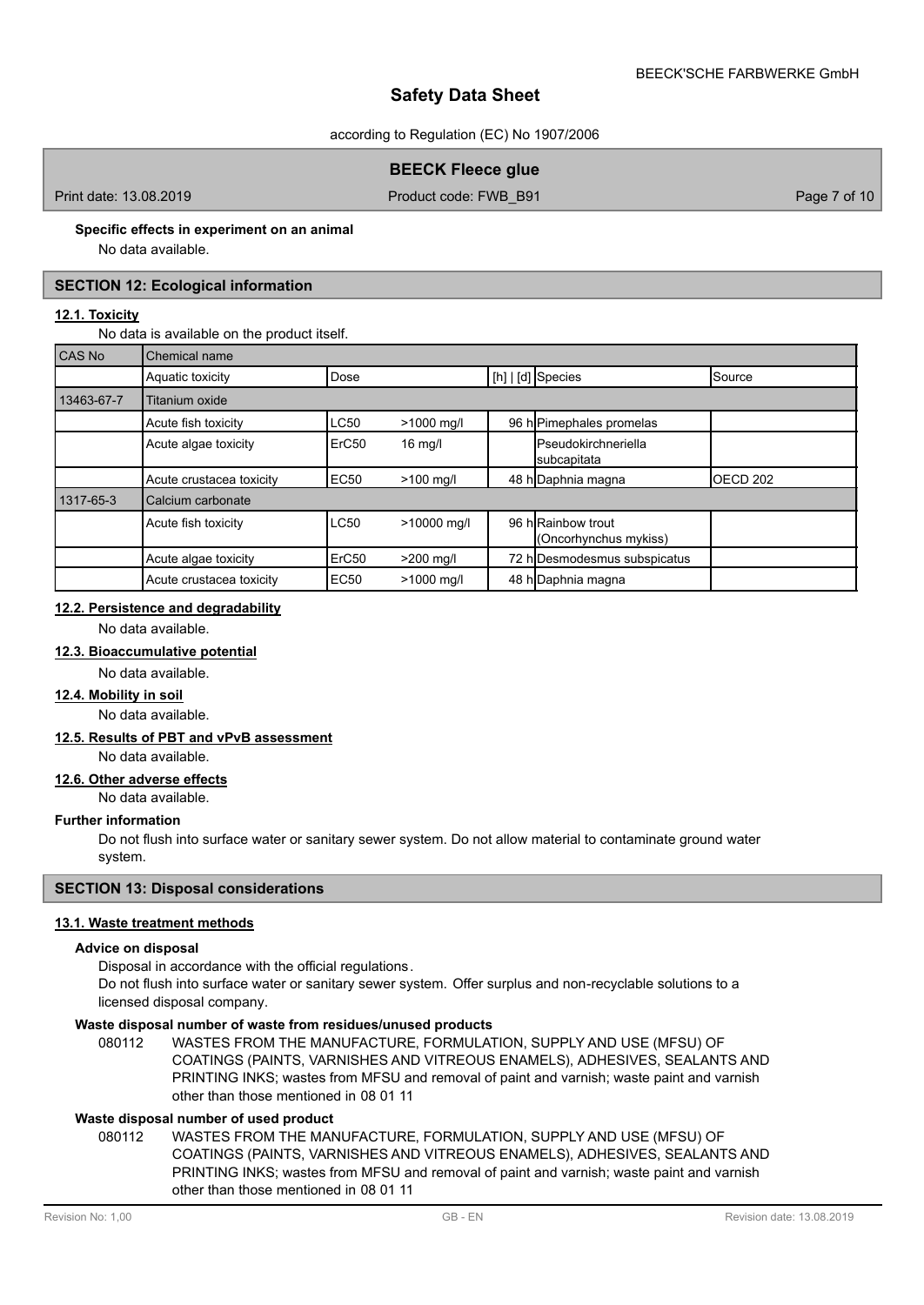according to Regulation (EC) No 1907/2006

## **BEECK Fleece glue**

Print date: 13.08.2019 **Product code: FWB\_B91** Page 7 of 10

## **Specific effects in experiment on an animal**

No data available.

## **SECTION 12: Ecological information**

## **12.1. Toxicity**

No data is available on the product itself.

| CAS No     | Chemical name            |                   |             |                                             |                  |
|------------|--------------------------|-------------------|-------------|---------------------------------------------|------------------|
|            | Aquatic toxicity         | Dose              |             | $[h]   [d]$ Species                         | Source           |
| 13463-67-7 | Titanium oxide           |                   |             |                                             |                  |
|            | Acute fish toxicity      | LC50              | >1000 mg/l  | 96 h Pimephales promelas                    |                  |
|            | Acute algae toxicity     | ErC <sub>50</sub> | $16$ mg/l   | <b>I</b> Pseudokirchneriella<br>subcapitata |                  |
|            | Acute crustacea toxicity | <b>EC50</b>       | $>100$ mg/l | 48 h Daphnia magna                          | <b>IOECD 202</b> |
| 1317-65-3  | Calcium carbonate        |                   |             |                                             |                  |
|            | Acute fish toxicity      | <b>LC50</b>       | >10000 mg/l | 96 h Rainbow trout<br>(Oncorhynchus mykiss) |                  |
|            | Acute algae toxicity     | ErC <sub>50</sub> | >200 mg/l   | 72 h Desmodesmus subspicatus                |                  |
|            | Acute crustacea toxicity | <b>EC50</b>       | >1000 mg/l  | 48 h Daphnia magna                          |                  |

## **12.2. Persistence and degradability**

No data available.

## **12.3. Bioaccumulative potential**

## No data available.

**12.4. Mobility in soil**

No data available.

## **12.5. Results of PBT and vPvB assessment**

No data available.

#### **12.6. Other adverse effects**

No data available.

### **Further information**

Do not flush into surface water or sanitary sewer system. Do not allow material to contaminate ground water system.

## **SECTION 13: Disposal considerations**

#### **13.1. Waste treatment methods**

### **Advice on disposal**

Disposal in accordance with the official regulations.

Do not flush into surface water or sanitary sewer system. Offer surplus and non-recyclable solutions to a licensed disposal company.

### **Waste disposal number of waste from residues/unused products**

080112 WASTES FROM THE MANUFACTURE, FORMULATION, SUPPLY AND USE (MFSU) OF COATINGS (PAINTS, VARNISHES AND VITREOUS ENAMELS), ADHESIVES, SEALANTS AND PRINTING INKS; wastes from MFSU and removal of paint and varnish; waste paint and varnish other than those mentioned in 08 01 11

#### **Waste disposal number of used product**

WASTES FROM THE MANUFACTURE, FORMULATION, SUPPLY AND USE (MFSU) OF COATINGS (PAINTS, VARNISHES AND VITREOUS ENAMELS), ADHESIVES, SEALANTS AND PRINTING INKS; wastes from MFSU and removal of paint and varnish; waste paint and varnish other than those mentioned in 08 01 11 080112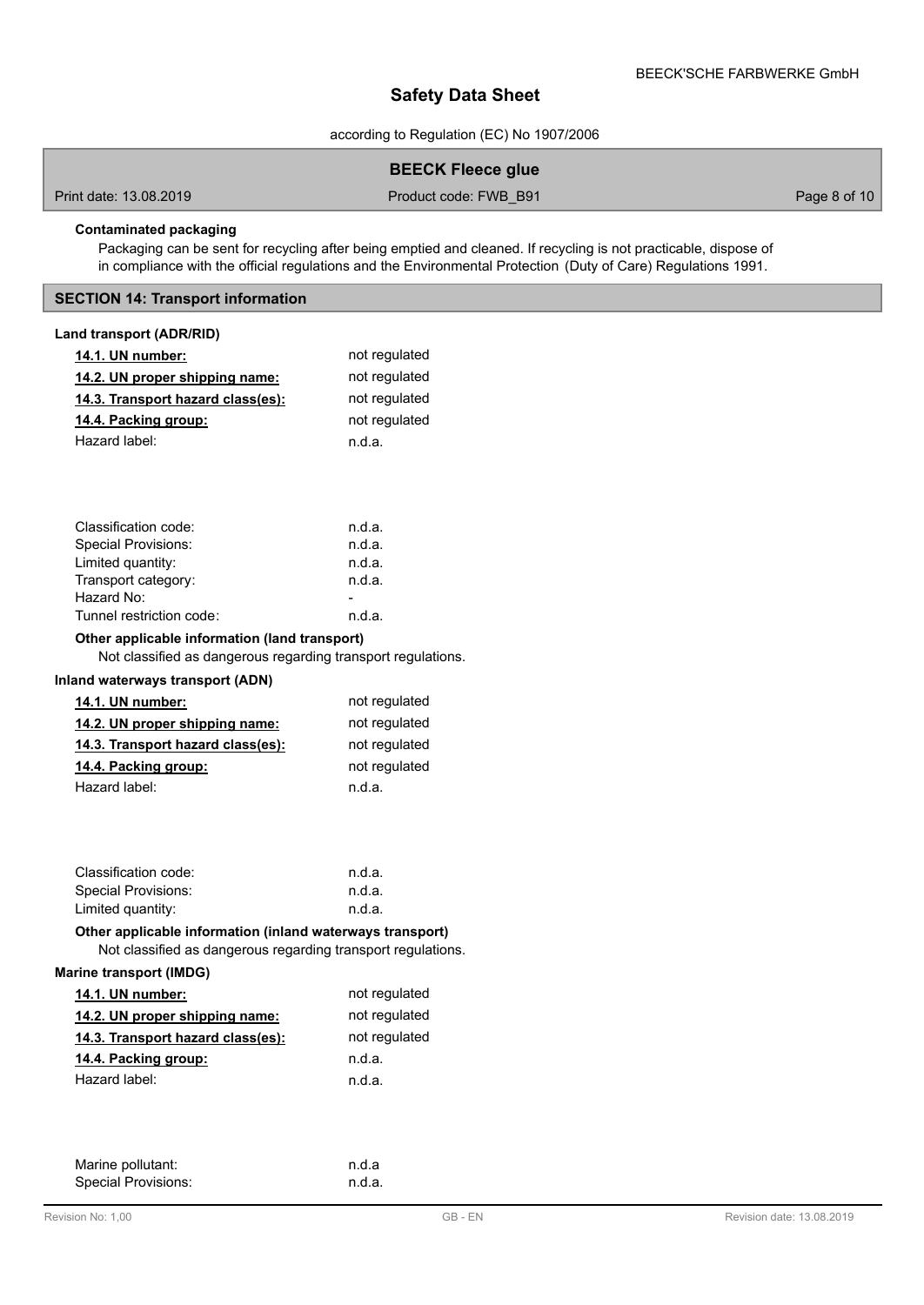according to Regulation (EC) No 1907/2006

## **BEECK Fleece glue**

Print date: 13.08.2019 **Product code: FWB\_B91** Product code: FWB\_B91 Page 8 of 10

## **Contaminated packaging**

Packaging can be sent for recycling after being emptied and cleaned. If recycling is not practicable, dispose of in compliance with the official regulations and the Environmental Protection (Duty of Care) Regulations 1991.

## **SECTION 14: Transport information**

## **Land transport (ADR/RID)**

| 14.1. UN number:                                                                                                          | not regulated |
|---------------------------------------------------------------------------------------------------------------------------|---------------|
| 14.2. UN proper shipping name:                                                                                            | not regulated |
| 14.3. Transport hazard class(es):                                                                                         | not regulated |
| 14.4. Packing group:                                                                                                      | not regulated |
| Hazard label:                                                                                                             | n.d.a.        |
|                                                                                                                           |               |
|                                                                                                                           |               |
|                                                                                                                           |               |
| Classification code:                                                                                                      | n.d.a.        |
| Special Provisions:                                                                                                       | n.d.a.        |
| Limited quantity:                                                                                                         | n.d.a.        |
| Transport category:                                                                                                       | n.d.a.        |
| Hazard No:                                                                                                                |               |
| Tunnel restriction code:                                                                                                  | n.d.a.        |
| Other applicable information (land transport)                                                                             |               |
| Not classified as dangerous regarding transport regulations.                                                              |               |
| <b>Inland waterways transport (ADN)</b>                                                                                   |               |
| 14.1. UN number:                                                                                                          | not regulated |
| 14.2. UN proper shipping name:                                                                                            | not regulated |
| 14.3. Transport hazard class(es):                                                                                         | not regulated |
| 14.4. Packing group:                                                                                                      | not regulated |
| Hazard label:                                                                                                             | n.d.a.        |
|                                                                                                                           |               |
|                                                                                                                           |               |
|                                                                                                                           |               |
| Classification code:                                                                                                      | n.d.a.        |
| <b>Special Provisions:</b>                                                                                                | n.d.a.        |
| Limited quantity:                                                                                                         | n.d.a.        |
| Other applicable information (inland waterways transport)<br>Not classified as dangerous regarding transport regulations. |               |
| <b>Marine transport (IMDG)</b>                                                                                            |               |
| 14.1. UN number:                                                                                                          | not regulated |
| 14.2. UN proper shipping name:                                                                                            | not regulated |
| 14.3. Transport hazard class(es):                                                                                         | not regulated |
| 14.4. Packing group:                                                                                                      | n.d.a.        |
| Hazard label:                                                                                                             | n.d.a.        |

| Marine pollutant:          | n.d.a  |
|----------------------------|--------|
| <b>Special Provisions:</b> | n.d.a. |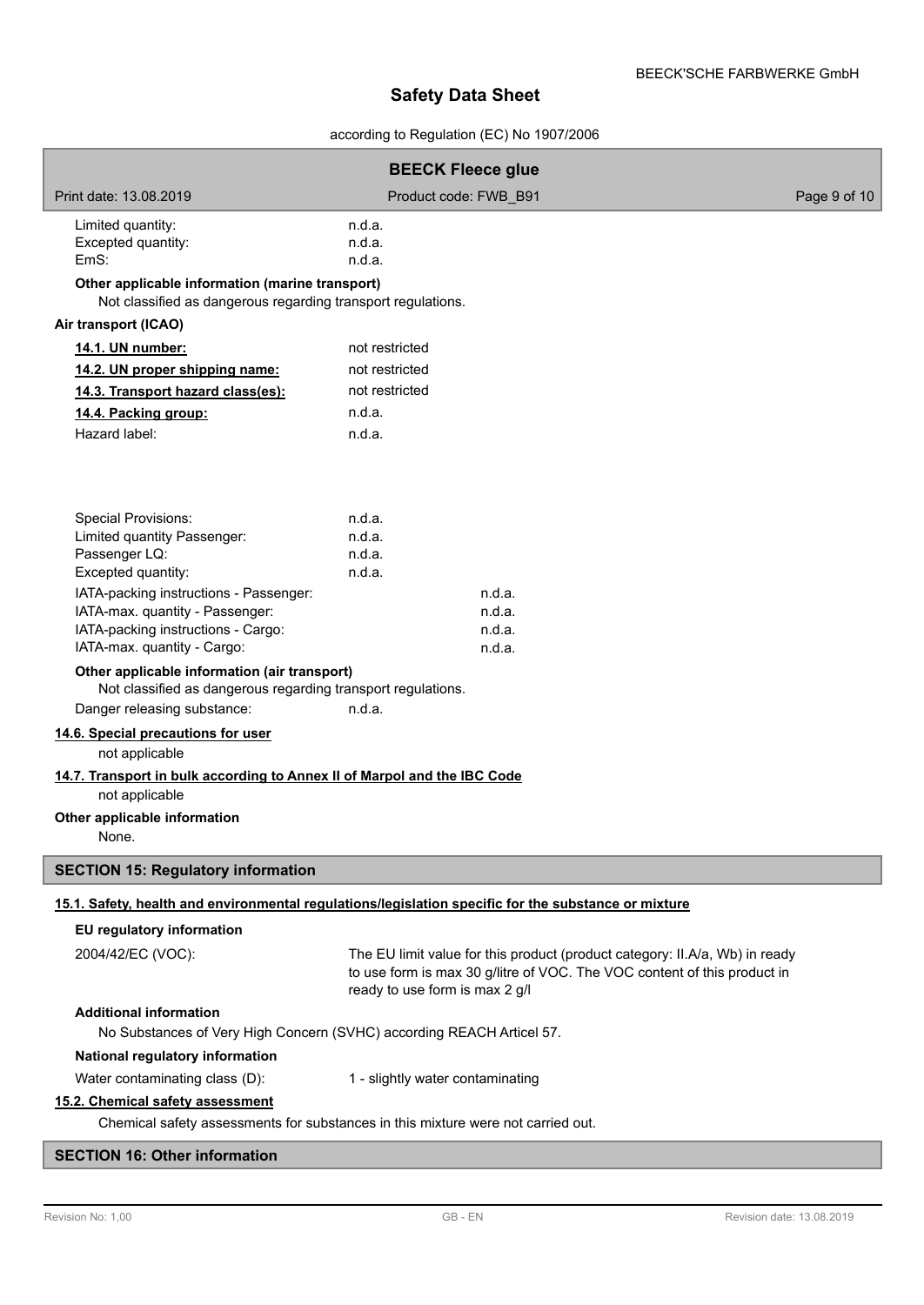# according to Regulation (EC) No 1907/2006

|                                                                                                                                                                                                                                                                                                                                                                                                                                                                                                                                                         | <b>BEECK Fleece glue</b>                       |                                                                                                                                                         |              |  |  |  |
|---------------------------------------------------------------------------------------------------------------------------------------------------------------------------------------------------------------------------------------------------------------------------------------------------------------------------------------------------------------------------------------------------------------------------------------------------------------------------------------------------------------------------------------------------------|------------------------------------------------|---------------------------------------------------------------------------------------------------------------------------------------------------------|--------------|--|--|--|
| Print date: 13.08.2019                                                                                                                                                                                                                                                                                                                                                                                                                                                                                                                                  | Product code: FWB B91                          |                                                                                                                                                         | Page 9 of 10 |  |  |  |
| Limited quantity:<br>Excepted quantity:<br>EmS:<br>Other applicable information (marine transport)<br>Not classified as dangerous regarding transport regulations.                                                                                                                                                                                                                                                                                                                                                                                      | n.d.a.<br>n.d.a.<br>n.d.a.                     |                                                                                                                                                         |              |  |  |  |
| Air transport (ICAO)                                                                                                                                                                                                                                                                                                                                                                                                                                                                                                                                    |                                                |                                                                                                                                                         |              |  |  |  |
| 14.1. UN number:                                                                                                                                                                                                                                                                                                                                                                                                                                                                                                                                        | not restricted                                 |                                                                                                                                                         |              |  |  |  |
| 14.2. UN proper shipping name:                                                                                                                                                                                                                                                                                                                                                                                                                                                                                                                          | not restricted                                 |                                                                                                                                                         |              |  |  |  |
| 14.3. Transport hazard class(es):                                                                                                                                                                                                                                                                                                                                                                                                                                                                                                                       | not restricted                                 |                                                                                                                                                         |              |  |  |  |
| 14.4. Packing group:                                                                                                                                                                                                                                                                                                                                                                                                                                                                                                                                    | n.d.a.                                         |                                                                                                                                                         |              |  |  |  |
| Hazard label:                                                                                                                                                                                                                                                                                                                                                                                                                                                                                                                                           | n.d.a.                                         |                                                                                                                                                         |              |  |  |  |
| <b>Special Provisions:</b><br>Limited quantity Passenger:<br>Passenger LQ:<br>Excepted quantity:<br>IATA-packing instructions - Passenger:<br>IATA-max. quantity - Passenger:<br>IATA-packing instructions - Cargo:<br>IATA-max. quantity - Cargo:<br>Other applicable information (air transport)<br>Not classified as dangerous regarding transport regulations.<br>Danger releasing substance:<br>14.6. Special precautions for user<br>not applicable<br>14.7. Transport in bulk according to Annex II of Marpol and the IBC Code<br>not applicable | n.d.a.<br>n.d.a.<br>n.d.a.<br>n.d.a.<br>n.d.a. | n.d.a.<br>n.d.a.<br>n.d.a.<br>n.d.a.                                                                                                                    |              |  |  |  |
| Other applicable information                                                                                                                                                                                                                                                                                                                                                                                                                                                                                                                            |                                                |                                                                                                                                                         |              |  |  |  |
| None.                                                                                                                                                                                                                                                                                                                                                                                                                                                                                                                                                   |                                                |                                                                                                                                                         |              |  |  |  |
| <b>SECTION 15: Regulatory information</b>                                                                                                                                                                                                                                                                                                                                                                                                                                                                                                               |                                                |                                                                                                                                                         |              |  |  |  |
| 15.1. Safety, health and environmental regulations/legislation specific for the substance or mixture                                                                                                                                                                                                                                                                                                                                                                                                                                                    |                                                |                                                                                                                                                         |              |  |  |  |
| EU regulatory information                                                                                                                                                                                                                                                                                                                                                                                                                                                                                                                               |                                                |                                                                                                                                                         |              |  |  |  |
| 2004/42/EC (VOC):                                                                                                                                                                                                                                                                                                                                                                                                                                                                                                                                       | ready to use form is max 2 g/l                 | The EU limit value for this product (product category: II.A/a, Wb) in ready<br>to use form is max 30 g/litre of VOC. The VOC content of this product in |              |  |  |  |
| <b>Additional information</b><br>No Substances of Very High Concern (SVHC) according REACH Articel 57.                                                                                                                                                                                                                                                                                                                                                                                                                                                  |                                                |                                                                                                                                                         |              |  |  |  |
| National regulatory information                                                                                                                                                                                                                                                                                                                                                                                                                                                                                                                         |                                                |                                                                                                                                                         |              |  |  |  |
| Water contaminating class (D):                                                                                                                                                                                                                                                                                                                                                                                                                                                                                                                          | 1 - slightly water contaminating               |                                                                                                                                                         |              |  |  |  |
| 15.2. Chemical safety assessment                                                                                                                                                                                                                                                                                                                                                                                                                                                                                                                        |                                                |                                                                                                                                                         |              |  |  |  |
| Chemical safety assessments for substances in this mixture were not carried out.                                                                                                                                                                                                                                                                                                                                                                                                                                                                        |                                                |                                                                                                                                                         |              |  |  |  |

## **SECTION 16: Other information**